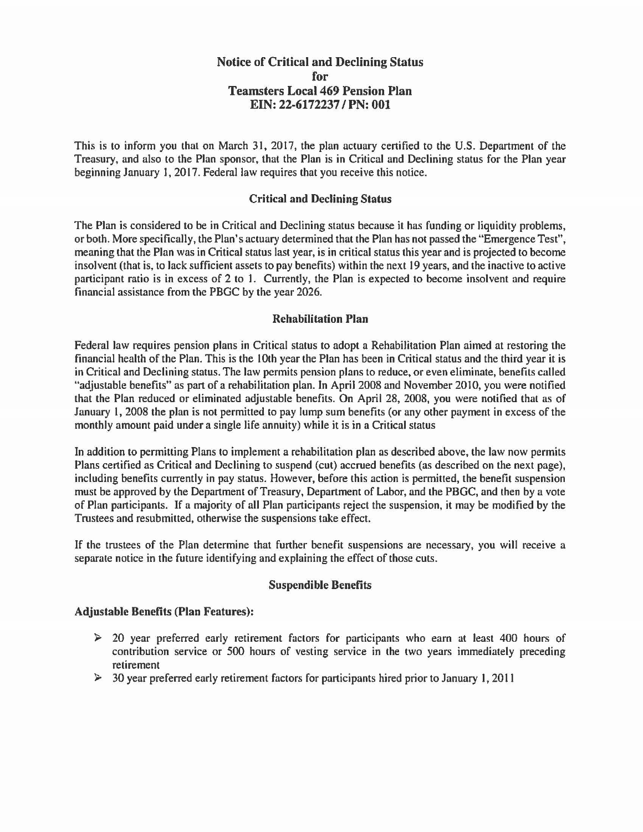# Notice of Critical and Declining Status for Teamsters Local 469 Pension Plan EIN: 22-6172237 /PN: 001

This is to inform you that on March 31, 2017, the plan actuary certified to the U.S. Department of the Treasury, and also to the Plan sponsor, that the Plan is in Critical and Declining status for the Plan year beginning January I, 2017. Federal law requires that you receive this notice.

### Critical and Declining Status

The Plan is considered to be in Critical and Declining status because it has funding or liquidity problems, or both. More specifically, the Plan's actuary determined that the Plan has not passed the "Emergence Test", meaning that the Plan was in Critical status last year, is in critical status this year and is projected to become insolvent (that is, to lack sufficient assets to pay benefits) within the next 19 years, and the inactive to active participant ratio is in excess of 2 to I. Currently, the Plan is expected to become insolvent and require financial assistance from the PBGC by the year 2026.

## Rehabilitation Plan

Federal law requires pension plans in Critical status to adopt a Rehabilitation Plan aimed at restoring the financial health of the Plan. This is the I 0th year the Plan has been in Critical status and the third year it is in Critical and Declining status. The law permits pension plans to reduce, or even eliminate, benefits caJled "adjustable benefits" as part of a rehabilitation plan. In April 2008 and November 2010, you were notified that the Plan reduced or eliminated adjustable benefits. On April 28, 2008, you were notified that as of January I, 2008 the plan is not permitted to pay lump sum benefits (or any other payment in excess of the monthly amount paid under a single life annuity) while it is in a Critical status

In addition to permitting Plans to implement a rehabilitation plan as described above, the law now permits Plans certified as Critical and Declining to suspend (cut) accrued benefits (as described on the next page), including benefits currently in pay status. However, before this action is permitted, the benefit suspension must be approved by the Department of Treasury, Department of Labor, and the PBGC, and then by a vote of Plan participants. If a majority of aJI Plan participants reject the suspension, it may be modified by the Trustees and resubmitted, otherwise the suspensions take effect.

If the trustees of the Plan determine that further benefit suspensions are necessary, you will receive a separate notice in the future identifying and explaining the effect of those cuts.

#### Suspendible Benefits

#### Adjustable Benefits (Plan Features):

- $\geq$  20 year preferred early retirement factors for participants who earn at least 400 hours of contribution service or 500 hours of vesting service in the two years immediately preceding retirement
- $\geq$  30 year preferred early retirement factors for participants hired prior to January 1, 2011